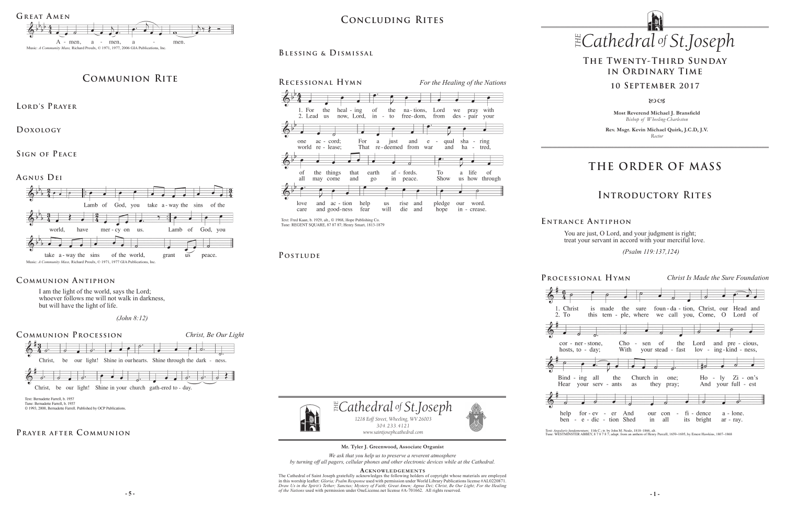**Most Reverend Michael J. Bransfield** *Bishop of Wheeling-Charleston*

**Rev. Msgr. Kevin Michael Quirk, J.C.D, J.V.** *Rector*

# $\mathbb{E}$ Cathedral of St.Joseph *1218 Eoff Street, Wheeling, WV 26003 304.233.4121*

*304.233.4121*



You are just, O Lord, and your judgment is right; treat your servant in accord with your merciful love.

*www.saintjosephcathedral.com*

# **THE ORDER OF MASS**

# **Introductory Rites**

# **The Twenty-Third Sunday in Ordinary Time**

## **10 September 2017**

80CB

**Processional Hymn** *Christ Is Made the Sure Foundation*



 $cor - n$ hosts.<sub>1</sub>





help ben



*www.saintjosephcathedral.com* **Mr. Tyler J. Greenwood, Associate Organist**  *(Psalm 119:137,124)* 

| ional Hymn                                                                                              |                                                          | Christ Is Made the Sure Foundation                 |  |
|---------------------------------------------------------------------------------------------------------|----------------------------------------------------------|----------------------------------------------------|--|
| is made the sure foun-da-tion, Christ, our Head and                                                     |                                                          |                                                    |  |
| this tem - ple, where we call you, Come, O Lord of<br>っ<br>er-stone, Cho-sen of the Lord and pre-cious, |                                                          |                                                    |  |
| :o - day;<br>Б.                                                                                         | With your stead - fast lov - ing-kind - ness,<br>扫<br>ā. |                                                    |  |
| ing all the Church in one;<br>your serv - ants as                                                       | they pray;                                               | $Ho - ly$ $Zi - on's$<br>And your full - est<br>ā. |  |
| for-ev - er And<br>our<br>in<br>e - dic - tion Shed                                                     | $con - fi - dence a - lone.$<br>all<br>its bright        | ar - ray.                                          |  |

Text: Angularis fundamentum; 11th C; tr. by John M. Neale, 1818-1866, alt.<br>Tune: WESTMINSTER ABBEY, 8 7 8 7 8 7; adapt. from an anthem of Henry Purcell, 1659-1695, by Ernest Hawkins, 1807-1868

**E ntrance A ntiphon**



# PRAYER AFTER COMMUNION

 $\sigma$   $\mu$   $\mu$  *e is a second with permission mate onceledisc.net needs*  $\pi$ *-1*  $\sigma$ 1002. An rights reserved. The Cathedral of Saint Joseph gratefully acknowledges the following holders of copyright whose materials are employed in this worship leaflet: *Gloria; Psalm Response* used with permission under World Library Publications license #AL0220871. *Draw Us in the Spirit's Tether; Sanctus; Mystery of Faith; Great Amen; Agnus Dei; Christ, Be Our Light; For the Healing of the Nations* used with permission under OneLicense.net license #A-701662.All rights reserved.

I am the light of the world, says the Lord; whoever follows me will not walk in darkness, but will have the light of life.

 *(John 8:12)*

# **Communion Antiphon**

*We ask that you help us to preserve a reverent atmosphere by turning off all pagers, cellular phones and other electronic devices while at the Cathedral.*

## **Acknowledgement s**



Tune: REGENT SQUARE, 87 87 87; Henry Smart, 1813-1879

POSTLUDE

# **Communion Rite**

**Lord's Prayer**

**Doxology** 

**Sign of Peace** 

# **Blessing & Dismissal**

**Agnus Dei**